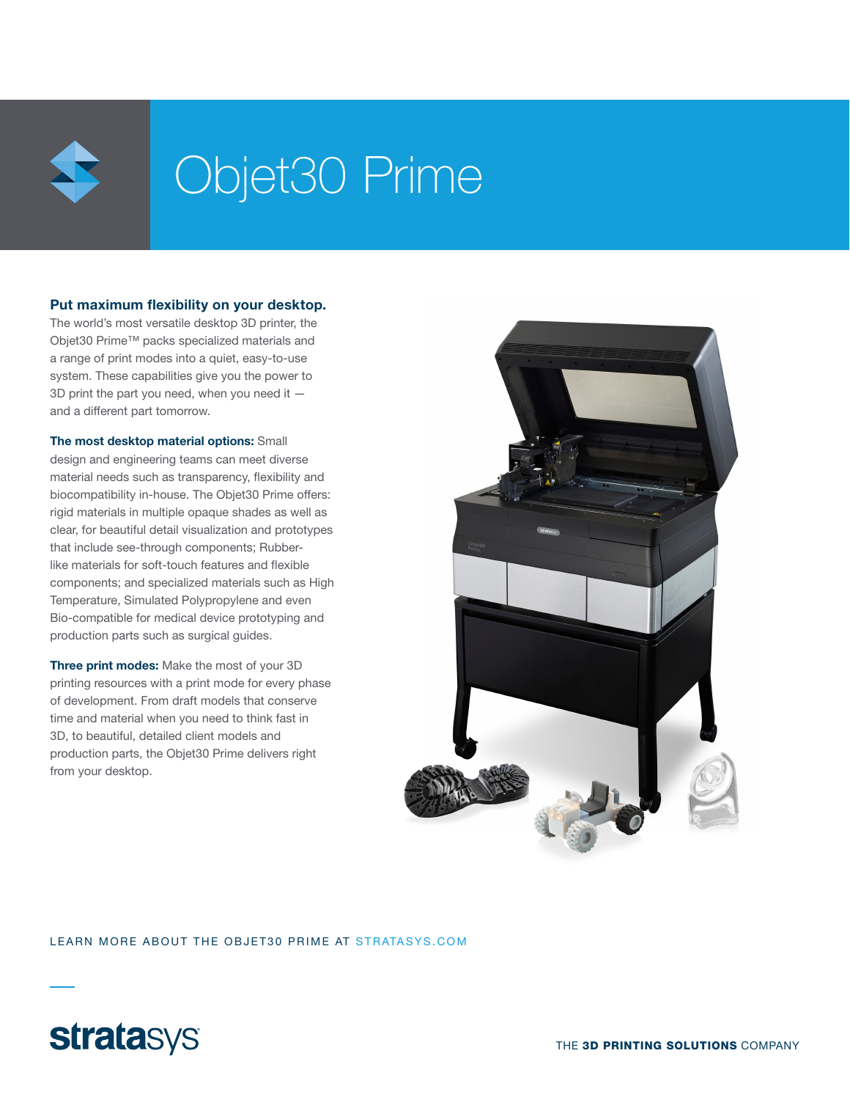

# Objet30 Prime

### Put maximum flexibility on your desktop.

The world's most versatile desktop 3D printer, the Objet30 Prime™ packs specialized materials and a range of print modes into a quiet, easy-to-use system. These capabilities give you the power to 3D print the part you need, when you need it and a different part tomorrow.

The most desktop material options: Small design and engineering teams can meet diverse material needs such as transparency, flexibility and biocompatibility in-house. The Objet30 Prime offers: rigid materials in multiple opaque shades as well as clear, for beautiful detail visualization and prototypes that include see-through components; Rubberlike materials for soft-touch features and flexible components; and specialized materials such as High Temperature, Simulated Polypropylene and even Bio-compatible for medical device prototyping and production parts such as surgical guides.

Three print modes: Make the most of your 3D printing resources with a print mode for every phase of development. From draft models that conserve time and material when you need to think fast in 3D, to beautiful, detailed client models and production parts, the Objet30 Prime delivers right from your desktop.



LEARN MORE ABOUT THE OBJET30 PRIME AT STRATASYS.COM